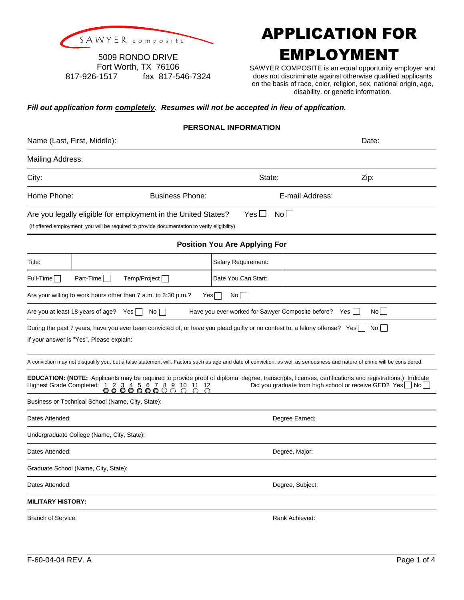

## SAWYER composite **APPLICATION FOR** EMPLOYMENT

5009 RONDO DRIVE Fort Worth, TX 76106 817-926-1517 fax 817-546-7324

SAWYER COMPOSITE is an equal opportunity employer and does not discriminate against otherwise qualified applicants on the basis of race, color, religion, sex, national origin, age, disability, or genetic information.

## *Fill out application form completely. Resumes will not be accepted in lieu of application.*

|                         |                                                                                                                                                                        | <b>PERSONAL INFORMATION</b>                           |                                                                                                                                                                                                                           |
|-------------------------|------------------------------------------------------------------------------------------------------------------------------------------------------------------------|-------------------------------------------------------|---------------------------------------------------------------------------------------------------------------------------------------------------------------------------------------------------------------------------|
|                         | Name (Last, First, Middle):                                                                                                                                            | Date:                                                 |                                                                                                                                                                                                                           |
| <b>Mailing Address:</b> |                                                                                                                                                                        |                                                       |                                                                                                                                                                                                                           |
| City:                   |                                                                                                                                                                        | State:                                                | Zip:                                                                                                                                                                                                                      |
| Home Phone:             | <b>Business Phone:</b>                                                                                                                                                 |                                                       | E-mail Address:                                                                                                                                                                                                           |
|                         | Are you legally eligible for employment in the United States?<br>(If offered employment, you will be required to provide documentation to verify eligibility)          | $Yes \Box$                                            | No II                                                                                                                                                                                                                     |
|                         |                                                                                                                                                                        | <b>Position You Are Applying For</b>                  |                                                                                                                                                                                                                           |
| Title:                  |                                                                                                                                                                        | Salary Requirement:                                   |                                                                                                                                                                                                                           |
| $Full-Time$             | Part-Time<br>Temp/Project                                                                                                                                              | Date You Can Start:                                   |                                                                                                                                                                                                                           |
|                         | Are your willing to work hours other than 7 a.m. to 3:30 p.m.?                                                                                                         | $Yes \Box$<br>$No$                                    |                                                                                                                                                                                                                           |
|                         | Are you at least 18 years of age? Yes<br>$No \Box$                                                                                                                     | Have you ever worked for Sawyer Composite before? Yes | No                                                                                                                                                                                                                        |
|                         | During the past 7 years, have you ever been convicted of, or have you plead guilty or no contest to, a felony offense? Yes<br>If your answer is "Yes", Please explain: |                                                       | No I                                                                                                                                                                                                                      |
|                         |                                                                                                                                                                        |                                                       | A conviction may not disqualify you, but a false statement will. Factors such as age and date of conviction, as well as seriousness and nature of crime will be considered.                                               |
|                         | Highest Grade Completed: 1 2 3 4 5 6 7 8 9 10 11 12<br>00000                                                                                                           |                                                       | <b>EDUCATION: (NOTE:</b> Applicants may be required to provide proof of diploma, degree, transcripts, licenses, certifications and registrations.) Indicate<br>Did you graduate from high school or receive GED? Yes   No |
|                         | Business or Technical School (Name, City, State):                                                                                                                      |                                                       |                                                                                                                                                                                                                           |
| Dates Attended:         |                                                                                                                                                                        |                                                       | Degree Earned:                                                                                                                                                                                                            |

Undergraduate College (Name, City, State):

Dates Attended: **Degree, Major: Degree**, Major: **Degree**, Major:

Graduate School (Name, City, State):

Dates Attended: Degree, Subject:

**MILITARY HISTORY:**

Branch of Service: **Rank Achieved:** Rank Achieved: **Rank Achieved:** Rank Achieved: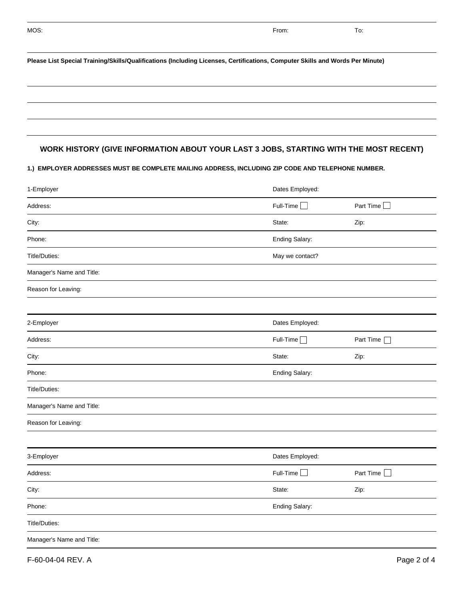| Please List Special Training/Skills/Qualifications (Including Licenses, Certifications, Computer Skills and Words Per Minute) |                                                                                                      |  |  |  |  |
|-------------------------------------------------------------------------------------------------------------------------------|------------------------------------------------------------------------------------------------------|--|--|--|--|
|                                                                                                                               |                                                                                                      |  |  |  |  |
| WORK HISTORY (GIVE INFORMATION ABOUT YOUR LAST 3 JOBS, STARTING WITH THE MOST RECENT)                                         |                                                                                                      |  |  |  |  |
| 1.) EMPLOYER ADDRESSES MUST BE COMPLETE MAILING ADDRESS, INCLUDING ZIP CODE AND TELEPHONE NUMBER.                             |                                                                                                      |  |  |  |  |
| Dates Employed:                                                                                                               |                                                                                                      |  |  |  |  |
| Full-Time $\Box$                                                                                                              | Part Time                                                                                            |  |  |  |  |
| State:                                                                                                                        | Zip:                                                                                                 |  |  |  |  |
| Ending Salary:                                                                                                                |                                                                                                      |  |  |  |  |
| May we contact?                                                                                                               |                                                                                                      |  |  |  |  |
|                                                                                                                               |                                                                                                      |  |  |  |  |
|                                                                                                                               |                                                                                                      |  |  |  |  |
|                                                                                                                               |                                                                                                      |  |  |  |  |
|                                                                                                                               | Part Time                                                                                            |  |  |  |  |
|                                                                                                                               | Zip:                                                                                                 |  |  |  |  |
|                                                                                                                               |                                                                                                      |  |  |  |  |
|                                                                                                                               |                                                                                                      |  |  |  |  |
|                                                                                                                               |                                                                                                      |  |  |  |  |
|                                                                                                                               |                                                                                                      |  |  |  |  |
|                                                                                                                               |                                                                                                      |  |  |  |  |
|                                                                                                                               | Part Time                                                                                            |  |  |  |  |
|                                                                                                                               | Zip:                                                                                                 |  |  |  |  |
|                                                                                                                               |                                                                                                      |  |  |  |  |
|                                                                                                                               |                                                                                                      |  |  |  |  |
| Ending Salary:                                                                                                                |                                                                                                      |  |  |  |  |
|                                                                                                                               | Dates Employed:<br>$Full-Time$<br>State:<br>Ending Salary:<br>Dates Employed:<br>Full-Time<br>State: |  |  |  |  |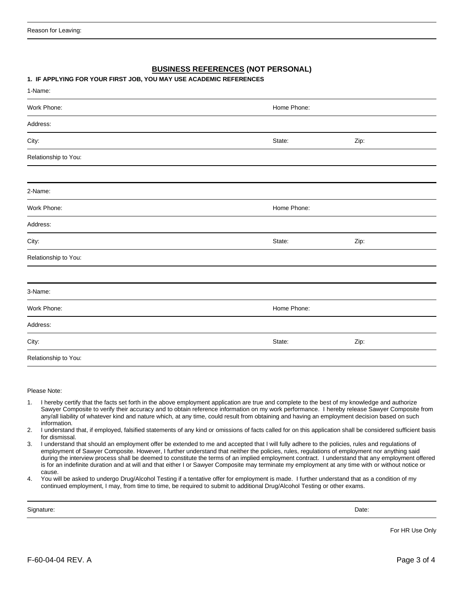## **BUSINESS REFERENCES (NOT PERSONAL)**

## **1. IF APPLYING FOR YOUR FIRST JOB, YOU MAY USE ACADEMIC REFERENCES**

| 1-Name:              |             |      |  |
|----------------------|-------------|------|--|
| Work Phone:          | Home Phone: |      |  |
| Address:             |             |      |  |
| City:                | State:      | Zip: |  |
| Relationship to You: |             |      |  |
|                      |             |      |  |
| 2-Name:              |             |      |  |
| Work Phone:          | Home Phone: |      |  |
| Address:             |             |      |  |
| City:                | State:      | Zip: |  |
| Relationship to You: |             |      |  |
|                      |             |      |  |
| 3-Name:              |             |      |  |
| Work Phone:          | Home Phone: |      |  |
| Address:             |             |      |  |
| City:                | State:      | Zip: |  |
| Relationship to You: |             |      |  |

Please Note:

- 1. I hereby certify that the facts set forth in the above employment application are true and complete to the best of my knowledge and authorize Sawyer Composite to verify their accuracy and to obtain reference information on my work performance. I hereby release Sawyer Composite from any/all liability of whatever kind and nature which, at any time, could result from obtaining and having an employment decision based on such information.
- 2. I understand that, if employed, falsified statements of any kind or omissions of facts called for on this application shall be considered sufficient basis for dismissal.
- 3. I understand that should an employment offer be extended to me and accepted that I will fully adhere to the policies, rules and regulations of employment of Sawyer Composite. However, I further understand that neither the policies, rules, regulations of employment nor anything said during the interview process shall be deemed to constitute the terms of an implied employment contract. I understand that any employment offered is for an indefinite duration and at will and that either I or Sawyer Composite may terminate my employment at any time with or without notice or cause.
- 4. You will be asked to undergo Drug/Alcohol Testing if a tentative offer for employment is made. I further understand that as a condition of my continued employment, I may, from time to time, be required to submit to additional Drug/Alcohol Testing or other exams.

Signature: Date:

For HR Use Only